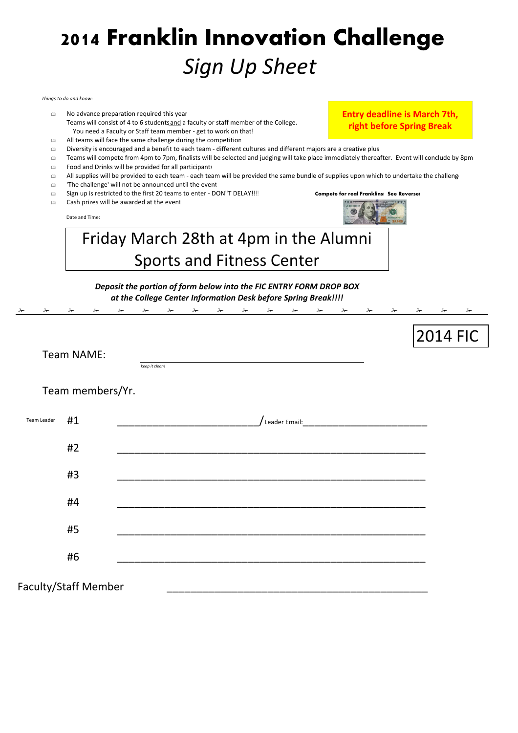# **2014 Franklin Innovation Challenge** *Sign Up Sheet*

#### *Things to do and know:*

- No advance preparation required this year Teams will consist of 4 to 6 students and a faculty or staff member of the College. You need a Faculty or Staff team member - get to work on that!
- $\Box$  All teams will face the same challenge during the competition
- Diversity is encouraged and a benefit to each team different cultures and different majors are a creative plus!
- Teams will compete from 4pm to 7pm, finalists will be selected and judging will take place immediately thereafter. Event will conclude by 8pm.
	- Food and Drinks will be provided for all participants
	- All supplies will be provided to each team each team will be provided the same bundle of supplies upon which to undertake the challenge
	- 'The challenge' will not be announced until the event
	- Sign up is restricted to the first 20 teams to enter DON"T DELAY!!!! **Compete for real Franklins! See Reverse!**
	- Cash prizes will be awarded at the event

Date and Time:



**Entry deadline is March 7th, right before Spring Break**

2014 FIC

## Friday March 28th at 4pm in the Alumni Sports and Fitness Center

### *Deposit the portion of form below into the FIC ENTRY FORM DROP BOX at the College Center Information Desk before Spring Break!!!!*



Team NAME:

*keep it clean!*

Team members/Yr.

| Team Leader          | #1 | /Leader Email: New York Product of the Maria Community of the Maria Community of the Maria Community of the Ma |
|----------------------|----|----------------------------------------------------------------------------------------------------------------|
|                      | #2 |                                                                                                                |
|                      | #3 |                                                                                                                |
|                      | #4 |                                                                                                                |
|                      | #5 |                                                                                                                |
|                      | #6 |                                                                                                                |
| Faculty/Staff Member |    |                                                                                                                |